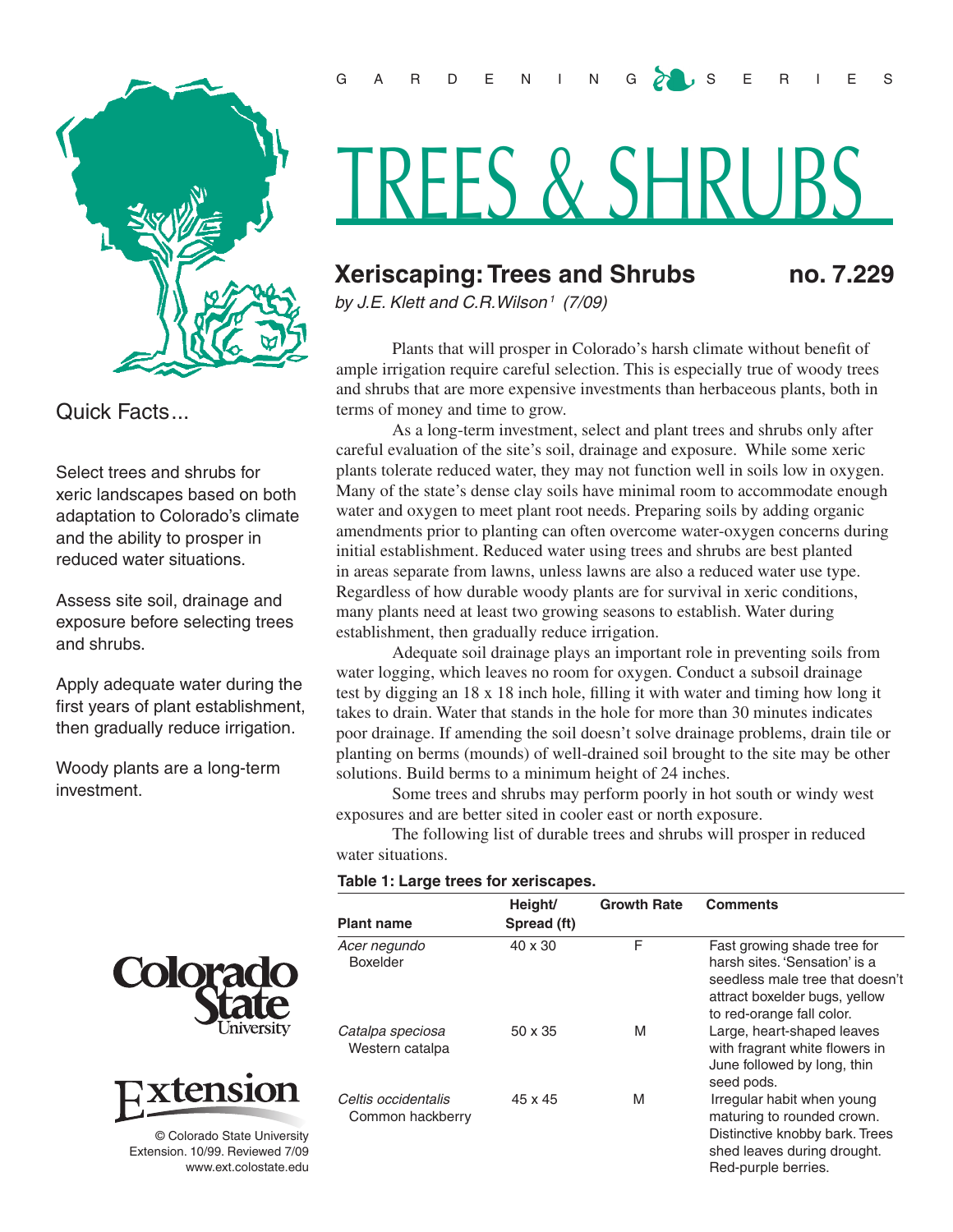

Quick Facts...

Select trees and shrubs for xeric landscapes based on both adaptation to Colorado's climate and the ability to prosper in reduced water situations.

Assess site soil, drainage and exposure before selecting trees and shrubs.

Apply adequate water during the first years of plant establishment, then gradually reduce irrigation.

Woody plants are a long-term investment.





© Colorado State University Extension. 10/99. Reviewed 7/09 www.ext.colostate.edu

# TREES & SHRUBS

# **Xeriscaping: Trees and Shrubs no. 7.229**

*by J.E. Klett and C.R.Wilson1 (7/09)* 

Plants that will prosper in Colorado's harsh climate without benefit of ample irrigation require careful selection. This is especially true of woody trees and shrubs that are more expensive investments than herbaceous plants, both in terms of money and time to grow.

As a long-term investment, select and plant trees and shrubs only after careful evaluation of the site's soil, drainage and exposure. While some xeric plants tolerate reduced water, they may not function well in soils low in oxygen. Many of the state's dense clay soils have minimal room to accommodate enough water and oxygen to meet plant root needs. Preparing soils by adding organic amendments prior to planting can often overcome water-oxygen concerns during initial establishment. Reduced water using trees and shrubs are best planted in areas separate from lawns, unless lawns are also a reduced water use type. Regardless of how durable woody plants are for survival in xeric conditions, many plants need at least two growing seasons to establish. Water during establishment, then gradually reduce irrigation.

Adequate soil drainage plays an important role in preventing soils from water logging, which leaves no room for oxygen. Conduct a subsoil drainage test by digging an 18 x 18 inch hole, filling it with water and timing how long it takes to drain. Water that stands in the hole for more than 30 minutes indicates poor drainage. If amending the soil doesn't solve drainage problems, drain tile or planting on berms (mounds) of well-drained soil brought to the site may be other solutions. Build berms to a minimum height of 24 inches.

Some trees and shrubs may perform poorly in hot south or windy west exposures and are better sited in cooler east or north exposure.

The following list of durable trees and shrubs will prosper in reduced water situations.

#### **Table 1: Large trees for xeriscapes.**

| <b>Plant name</b>                       | Height/<br>Spread (ft) | <b>Growth Rate</b> | <b>Comments</b>                                                                                                                                               |
|-----------------------------------------|------------------------|--------------------|---------------------------------------------------------------------------------------------------------------------------------------------------------------|
| Acer negundo<br>Boxelder                | 40 x 30                | F                  | Fast growing shade tree for<br>harsh sites. 'Sensation' is a<br>seedless male tree that doesn't<br>attract boxelder bugs, yellow<br>to red-orange fall color. |
| Catalpa speciosa<br>Western catalpa     | $50 \times 35$         | M                  | Large, heart-shaped leaves<br>with fragrant white flowers in<br>June followed by long, thin<br>seed pods.                                                     |
| Celtis occidentalis<br>Common hackberry | 45 x 45                | M                  | Irregular habit when young<br>maturing to rounded crown.<br>Distinctive knobby bark. Trees<br>shed leaves during drought.<br>Red-purple berries.              |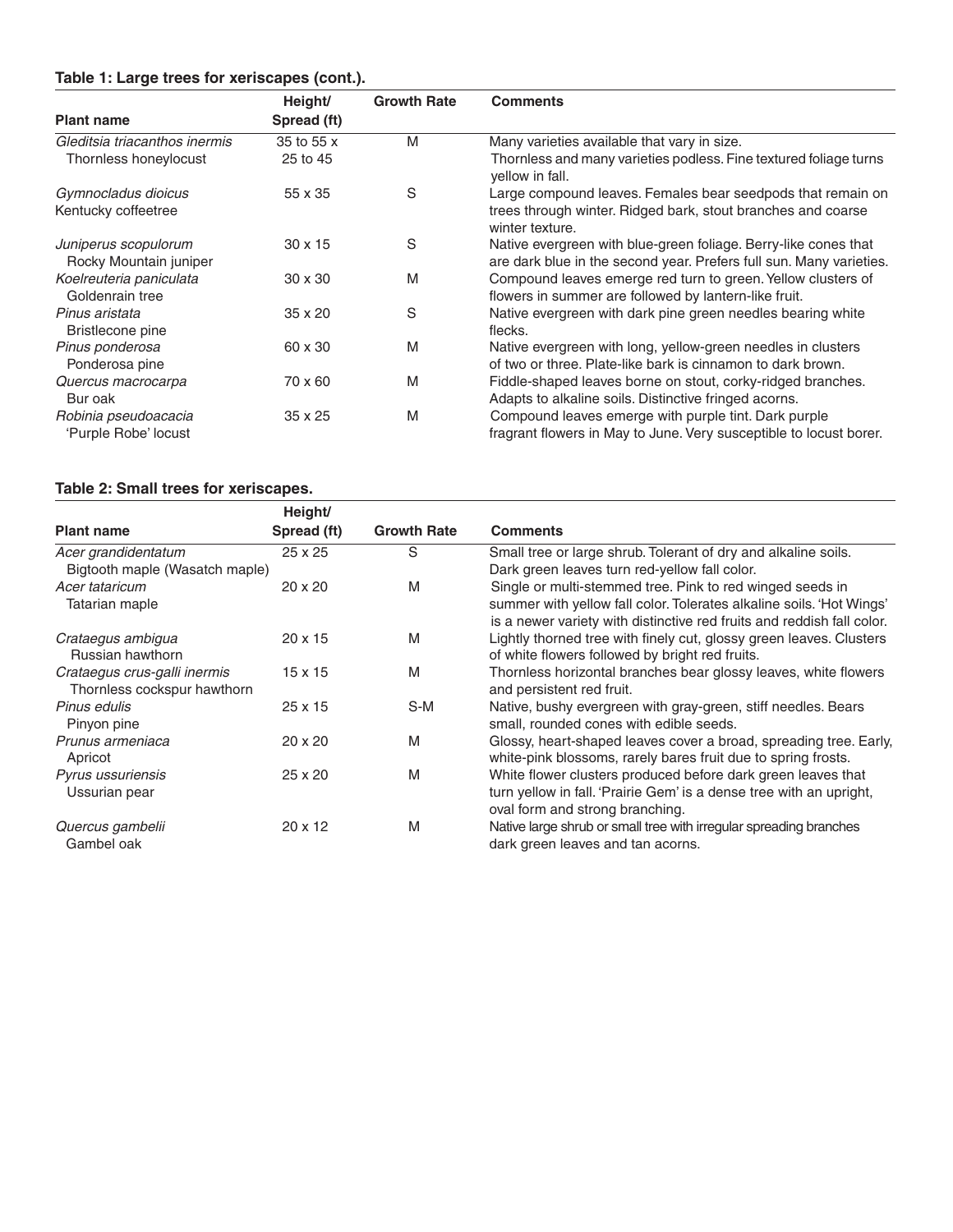# **Table 1: Large trees for xeriscapes (cont.).**

|                               | Height/        | <b>Growth Rate</b> | <b>Comments</b>                                                                      |
|-------------------------------|----------------|--------------------|--------------------------------------------------------------------------------------|
| <b>Plant name</b>             | Spread (ft)    |                    |                                                                                      |
| Gleditsia triacanthos inermis | 35 to 55 x     | M                  | Many varieties available that vary in size.                                          |
| Thornless honeylocust         | 25 to 45       |                    | Thornless and many varieties podless. Fine textured foliage turns<br>yellow in fall. |
| Gymnocladus dioicus           | 55 x 35        | S                  | Large compound leaves. Females bear seedpods that remain on                          |
| Kentucky coffeetree           |                |                    | trees through winter. Ridged bark, stout branches and coarse<br>winter texture.      |
| Juniperus scopulorum          | $30 \times 15$ | S                  | Native evergreen with blue-green foliage. Berry-like cones that                      |
| Rocky Mountain juniper        |                |                    | are dark blue in the second year. Prefers full sun. Many varieties.                  |
| Koelreuteria paniculata       | $30 \times 30$ | M                  | Compound leaves emerge red turn to green. Yellow clusters of                         |
| Goldenrain tree               |                |                    | flowers in summer are followed by lantern-like fruit.                                |
| Pinus aristata                | $35 \times 20$ | S                  | Native evergreen with dark pine green needles bearing white                          |
| Bristlecone pine              |                |                    | flecks.                                                                              |
| Pinus ponderosa               | 60 x 30        | M                  | Native evergreen with long, yellow-green needles in clusters                         |
| Ponderosa pine                |                |                    | of two or three. Plate-like bark is cinnamon to dark brown.                          |
| Quercus macrocarpa            | 70 x 60        | M                  | Fiddle-shaped leaves borne on stout, corky-ridged branches.                          |
| Bur oak                       |                |                    | Adapts to alkaline soils. Distinctive fringed acorns.                                |
| Robinia pseudoacacia          | 35 x 25        | M                  | Compound leaves emerge with purple tint. Dark purple                                 |
| 'Purple Robe' locust          |                |                    | fragrant flowers in May to June. Very susceptible to locust borer.                   |

# **Table 2: Small trees for xeriscapes.**

|                                | Height/        |                    |                                                                        |
|--------------------------------|----------------|--------------------|------------------------------------------------------------------------|
| <b>Plant name</b>              | Spread (ft)    | <b>Growth Rate</b> | <b>Comments</b>                                                        |
| Acer grandidentatum            | $25 \times 25$ | S                  | Small tree or large shrub. Tolerant of dry and alkaline soils.         |
| Bigtooth maple (Wasatch maple) |                |                    | Dark green leaves turn red-yellow fall color.                          |
| Acer tataricum                 | $20 \times 20$ | M                  | Single or multi-stemmed tree. Pink to red winged seeds in              |
| Tatarian maple                 |                |                    | summer with yellow fall color. Tolerates alkaline soils. 'Hot Wings'   |
|                                |                |                    | is a newer variety with distinctive red fruits and reddish fall color. |
| Crataegus ambigua              | $20 \times 15$ | M                  | Lightly thorned tree with finely cut, glossy green leaves. Clusters    |
| Russian hawthorn               |                |                    | of white flowers followed by bright red fruits.                        |
| Crataegus crus-galli inermis   | $15 \times 15$ | M                  | Thornless horizontal branches bear glossy leaves, white flowers        |
| Thornless cockspur hawthorn    |                |                    | and persistent red fruit.                                              |
| Pinus edulis                   | $25 \times 15$ | S-M                | Native, bushy evergreen with gray-green, stiff needles. Bears          |
| Pinyon pine                    |                |                    | small, rounded cones with edible seeds.                                |
| Prunus armeniaca               | $20 \times 20$ | M                  | Glossy, heart-shaped leaves cover a broad, spreading tree. Early,      |
| Apricot                        |                |                    | white-pink blossoms, rarely bares fruit due to spring frosts.          |
| Pyrus ussuriensis              | $25 \times 20$ | M                  | White flower clusters produced before dark green leaves that           |
| Ussurian pear                  |                |                    | turn yellow in fall. 'Prairie Gem' is a dense tree with an upright,    |
|                                |                |                    | oval form and strong branching.                                        |
| Quercus gambelii               | $20 \times 12$ | M                  | Native large shrub or small tree with irregular spreading branches     |
| Gambel oak                     |                |                    | dark green leaves and tan acorns.                                      |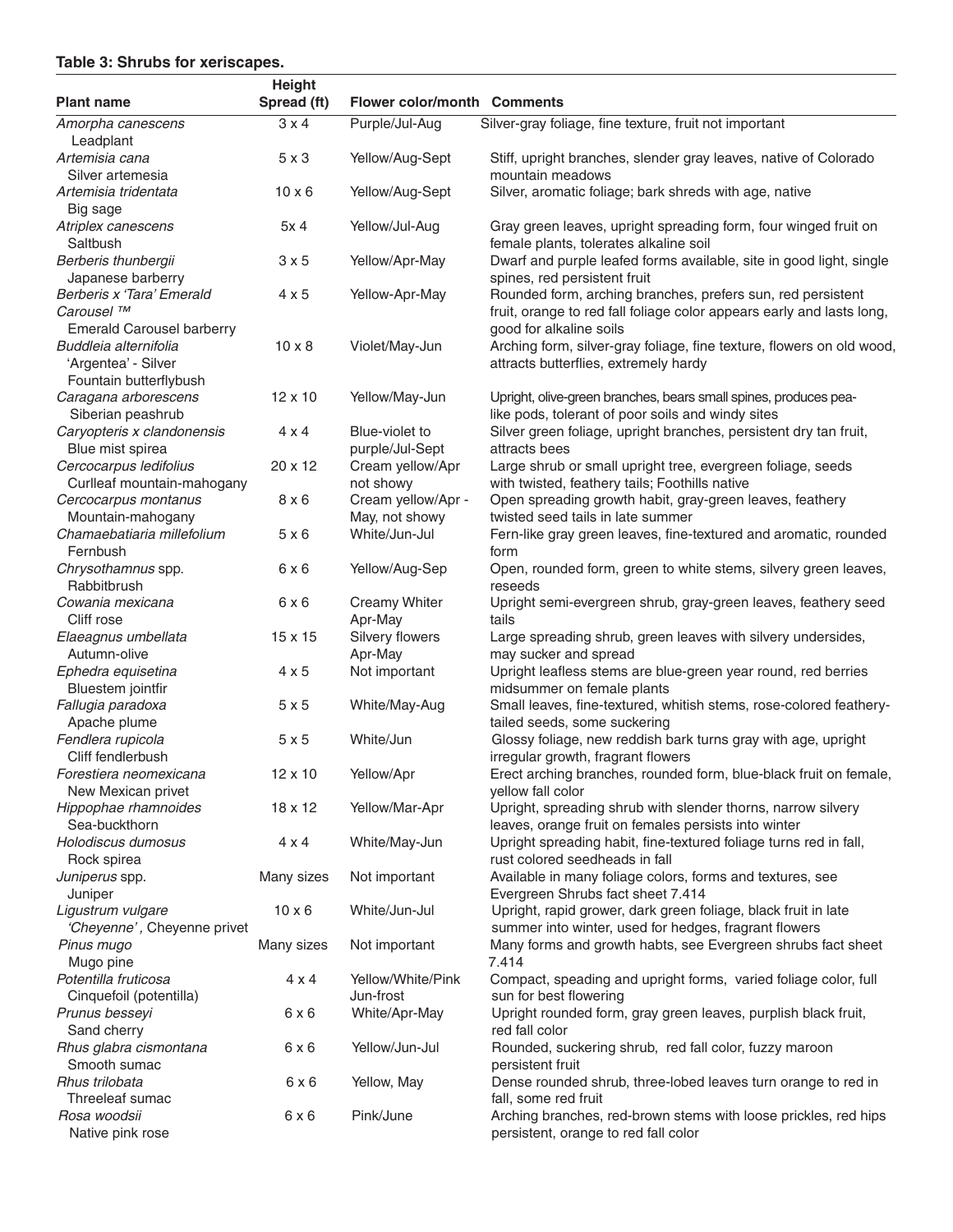### **Table 3: Shrubs for xeriscapes.**

|                                                                                                            | <b>Height</b> |                                      |                                                                                                                                           |
|------------------------------------------------------------------------------------------------------------|---------------|--------------------------------------|-------------------------------------------------------------------------------------------------------------------------------------------|
| <b>Plant name</b>                                                                                          | Spread (ft)   | <b>Flower color/month Comments</b>   |                                                                                                                                           |
| Amorpha canescens<br>Leadplant                                                                             | $3 \times 4$  | Purple/Jul-Aug                       | Silver-gray foliage, fine texture, fruit not important                                                                                    |
| Artemisia cana<br>Silver artemesia                                                                         | $5 \times 3$  | Yellow/Aug-Sept                      | Stiff, upright branches, slender gray leaves, native of Colorado<br>mountain meadows                                                      |
| Artemisia tridentata<br>Big sage                                                                           | $10 \times 6$ | Yellow/Aug-Sept                      | Silver, aromatic foliage; bark shreds with age, native                                                                                    |
| Atriplex canescens<br>Saltbush                                                                             | 5x 4          | Yellow/Jul-Aug                       | Gray green leaves, upright spreading form, four winged fruit on<br>female plants, tolerates alkaline soil                                 |
| Berberis thunbergii<br>Japanese barberry                                                                   | 3x5           | Yellow/Apr-May                       | Dwarf and purple leafed forms available, site in good light, single<br>spines, red persistent fruit                                       |
| Berberis x 'Tara' Emerald<br>Carousel <sup>™</sup>                                                         | $4 \times 5$  | Yellow-Apr-May                       | Rounded form, arching branches, prefers sun, red persistent<br>fruit, orange to red fall foliage color appears early and lasts long,      |
| <b>Emerald Carousel barberry</b><br>Buddleia alternifolia<br>'Argentea' - Silver<br>Fountain butterflybush | $10 \times 8$ | Violet/May-Jun                       | good for alkaline soils<br>Arching form, silver-gray foliage, fine texture, flowers on old wood,<br>attracts butterflies, extremely hardy |
| Caragana arborescens<br>Siberian peashrub                                                                  | 12 x 10       | Yellow/May-Jun                       | Upright, olive-green branches, bears small spines, produces pea-<br>like pods, tolerant of poor soils and windy sites                     |
| Caryopteris x clandonensis<br>Blue mist spirea                                                             | $4 \times 4$  | Blue-violet to<br>purple/Jul-Sept    | Silver green foliage, upright branches, persistent dry tan fruit,<br>attracts bees                                                        |
| Cercocarpus ledifolius<br>Curlleaf mountain-mahogany                                                       | 20 x 12       | Cream yellow/Apr<br>not showy        | Large shrub or small upright tree, evergreen foliage, seeds<br>with twisted, feathery tails; Foothills native                             |
| Cercocarpus montanus<br>Mountain-mahogany                                                                  | 8x6           | Cream yellow/Apr -<br>May, not showy | Open spreading growth habit, gray-green leaves, feathery<br>twisted seed tails in late summer                                             |
| Chamaebatiaria millefolium<br>Fernbush                                                                     | 5x6           | White/Jun-Jul                        | Fern-like gray green leaves, fine-textured and aromatic, rounded<br>form                                                                  |
| Chrysothamnus spp.<br>Rabbitbrush                                                                          | 6x6           | Yellow/Aug-Sep                       | Open, rounded form, green to white stems, silvery green leaves,<br>reseeds                                                                |
| Cowania mexicana<br>Cliff rose                                                                             | 6x6           | Creamy Whiter<br>Apr-May             | Upright semi-evergreen shrub, gray-green leaves, feathery seed<br>tails                                                                   |
| Elaeagnus umbellata<br>Autumn-olive                                                                        | 15 x 15       | Silvery flowers<br>Apr-May           | Large spreading shrub, green leaves with silvery undersides,<br>may sucker and spread                                                     |
| Ephedra equisetina<br>Bluestem jointfir                                                                    | $4 \times 5$  | Not important                        | Upright leafless stems are blue-green year round, red berries<br>midsummer on female plants                                               |
| Fallugia paradoxa<br>Apache plume                                                                          | 5x5           | White/May-Aug                        | Small leaves, fine-textured, whitish stems, rose-colored feathery-<br>tailed seeds, some suckering                                        |
| Fendlera rupicola<br>Cliff fendlerbush                                                                     | 5x5           | White/Jun                            | Glossy foliage, new reddish bark turns gray with age, upright<br>irregular growth, fragrant flowers                                       |
| Forestiera neomexicana<br>New Mexican privet                                                               | 12 x 10       | Yellow/Apr                           | Erect arching branches, rounded form, blue-black fruit on female,<br>yellow fall color                                                    |
| Hippophae rhamnoides<br>Sea-buckthorn                                                                      | 18 x 12       | Yellow/Mar-Apr                       | Upright, spreading shrub with slender thorns, narrow silvery<br>leaves, orange fruit on females persists into winter                      |
| Holodiscus dumosus<br>Rock spirea                                                                          | $4 \times 4$  | White/May-Jun                        | Upright spreading habit, fine-textured foliage turns red in fall,<br>rust colored seedheads in fall                                       |
| Juniperus spp.<br>Juniper                                                                                  | Many sizes    | Not important                        | Available in many foliage colors, forms and textures, see<br>Evergreen Shrubs fact sheet 7.414                                            |
| Ligustrum vulgare<br>'Cheyenne', Cheyenne privet                                                           | $10 \times 6$ | White/Jun-Jul                        | Upright, rapid grower, dark green foliage, black fruit in late<br>summer into winter, used for hedges, fragrant flowers                   |
| Pinus mugo<br>Mugo pine                                                                                    | Many sizes    | Not important                        | Many forms and growth habts, see Evergreen shrubs fact sheet<br>7.414                                                                     |
| Potentilla fruticosa<br>Cinquefoil (potentilla)                                                            | $4 \times 4$  | Yellow/White/Pink<br>Jun-frost       | Compact, speading and upright forms, varied foliage color, full<br>sun for best flowering                                                 |
| Prunus besseyi<br>Sand cherry                                                                              | 6 x 6         | White/Apr-May                        | Upright rounded form, gray green leaves, purplish black fruit,<br>red fall color                                                          |
| Rhus glabra cismontana<br>Smooth sumac                                                                     | 6x6           | Yellow/Jun-Jul                       | Rounded, suckering shrub, red fall color, fuzzy maroon<br>persistent fruit                                                                |
| Rhus trilobata<br>Threeleaf sumac                                                                          | 6 x 6         | Yellow, May                          | Dense rounded shrub, three-lobed leaves turn orange to red in<br>fall, some red fruit                                                     |
| Rosa woodsii<br>Native pink rose                                                                           | 6x6           | Pink/June                            | Arching branches, red-brown stems with loose prickles, red hips<br>persistent, orange to red fall color                                   |